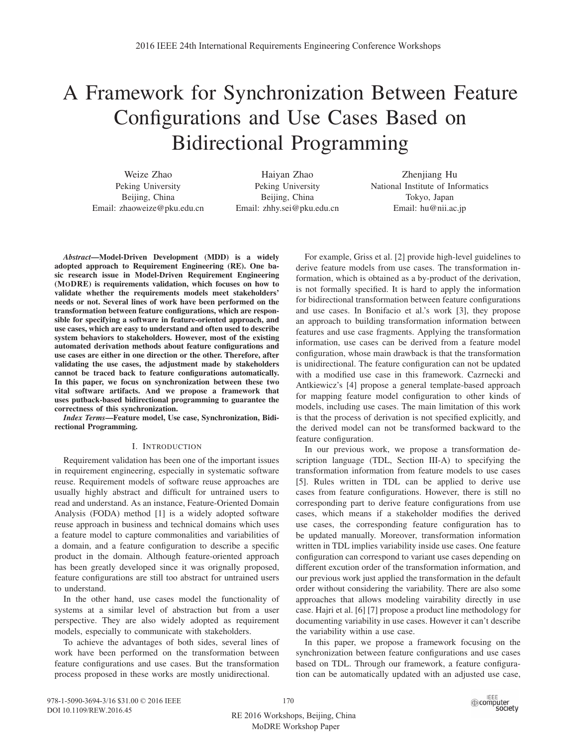# A Framework for Synchronization Between Feature Configurations and Use Cases Based on Bidirectional Programming

Weize Zhao Peking University Beijing, China Email: zhaoweize@pku.edu.cn

Haiyan Zhao Peking University Beijing, China Email: zhhy.sei@pku.edu.cn

Zhenjiang Hu National Institute of Informatics Tokyo, Japan Email: hu@nii.ac.jp

*Abstract*—Model-Driven Development (MDD) is a widely adopted approach to Requirement Engineering (RE). One basic research issue in Model-Driven Requirement Engineering (MODRE) is requirements validation, which focuses on how to validate whether the requirements models meet stakeholders' needs or not. Several lines of work have been performed on the transformation between feature configurations, which are responsible for specifying a software in feature-oriented approach, and use cases, which are easy to understand and often used to describe system behaviors to stakeholders. However, most of the existing automated derivation methods about feature configurations and use cases are either in one direction or the other. Therefore, after validating the use cases, the adjustment made by stakeholders cannot be traced back to feature configurations automatically. In this paper, we focus on synchronization between these two vital software artifacts. And we propose a framework that uses putback-based bidirectional programming to guarantee the correctness of this synchronization.

*Index Terms*—Feature model, Use case, Synchronization, Bidirectional Programming.

# I. INTRODUCTION

Requirement validation has been one of the important issues in requirement engineering, especially in systematic software reuse. Requirement models of software reuse approaches are usually highly abstract and difficult for untrained users to read and understand. As an instance, Feature-Oriented Domain Analysis (FODA) method [1] is a widely adopted software reuse approach in business and technical domains which uses a feature model to capture commonalities and variabilities of a domain, and a feature configuration to describe a specific product in the domain. Although feature-oriented approach has been greatly developed since it was orignally proposed, feature configurations are still too abstract for untrained users to understand.

In the other hand, use cases model the functionality of systems at a similar level of abstraction but from a user perspective. They are also widely adopted as requirement models, especially to communicate with stakeholders.

To achieve the advantages of both sides, several lines of work have been performed on the transformation between feature configurations and use cases. But the transformation process proposed in these works are mostly unidirectional.

For example, Griss et al. [2] provide high-level guidelines to derive feature models from use cases. The transformation information, which is obtained as a by-product of the derivation, is not formally specified. It is hard to apply the information for bidirectional transformation between feature configurations and use cases. In Bonifacio et al.'s work [3], they propose an approach to building transformation information between features and use case fragments. Applying the transformation information, use cases can be derived from a feature model configuration, whose main drawback is that the transformation is unidirectional. The feature configuration can not be updated with a modified use case in this framework. Cazrnecki and Antkiewicz's [4] propose a general template-based approach for mapping feature model configuration to other kinds of models, including use cases. The main limitation of this work is that the process of derivation is not specified explicitly, and the derived model can not be transformed backward to the feature configuration.

In our previous work, we propose a transformation description language (TDL, Section III-A) to specifying the transformation information from feature models to use cases [5]. Rules written in TDL can be applied to derive use cases from feature configurations. However, there is still no corresponding part to derive feature configurations from use cases, which means if a stakeholder modifies the derived use cases, the corresponding feature configuration has to be updated manually. Moreover, transformation information written in TDL implies variability inside use cases. One feature configuration can correspond to variant use cases depending on different excution order of the transformation information, and our previous work just applied the transformation in the default order without considering the variability. There are also some approaches that allows modeling vairability directly in use case. Hajri et al. [6] [7] propose a product line methodology for documenting variability in use cases. However it can't describe the variability within a use case.

In this paper, we propose a framework focusing on the synchronization between feature configurations and use cases based on TDL. Through our framework, a feature configuration can be automatically updated with an adjusted use case,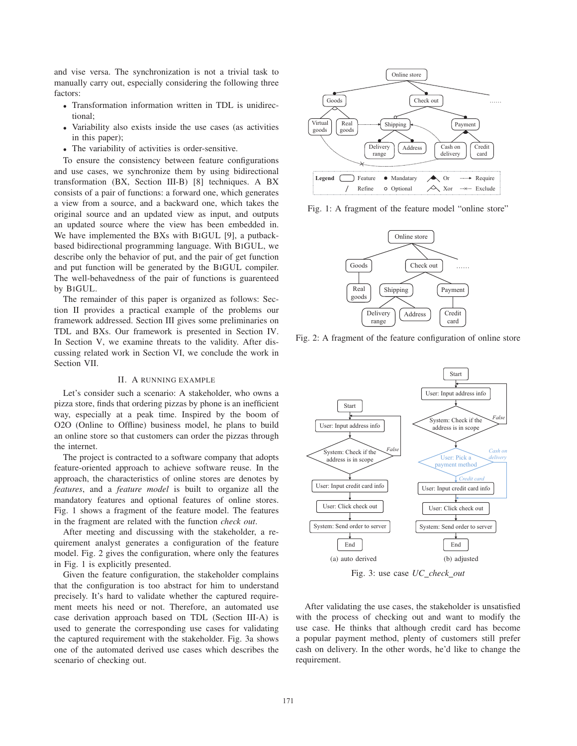and vise versa. The synchronization is not a trivial task to manually carry out, especially considering the following three factors:

- Transformation information written in TDL is unidirectional;
- Variability also exists inside the use cases (as activities in this paper);
- The variability of activities is order-sensitive.

To ensure the consistency between feature configurations and use cases, we synchronize them by using bidirectional transformation (BX, Section III-B) [8] techniques. A BX consists of a pair of functions: a forward one, which generates a view from a source, and a backward one, which takes the original source and an updated view as input, and outputs an updated source where the view has been embedded in. We have implemented the BXs with BIGUL [9], a putbackbased bidirectional programming language. With BIGUL, we describe only the behavior of put, and the pair of get function and put function will be generated by the BIGUL compiler. The well-behavedness of the pair of functions is guarenteed by BIGUL.

The remainder of this paper is organized as follows: Section II provides a practical example of the problems our framework addressed. Section III gives some preliminaries on TDL and BXs. Our framework is presented in Section IV. In Section V, we examine threats to the validity. After discussing related work in Section VI, we conclude the work in Section VII.

#### II. A RUNNING EXAMPLE

Let's consider such a scenario: A stakeholder, who owns a pizza store, finds that ordering pizzas by phone is an inefficient way, especially at a peak time. Inspired by the boom of O2O (Online to Offline) business model, he plans to build an online store so that customers can order the pizzas through the internet.

The project is contracted to a software company that adopts feature-oriented approach to achieve software reuse. In the approach, the characteristics of online stores are denotes by *features*, and a *feature model* is built to organize all the mandatory features and optional features of online stores. Fig. 1 shows a fragment of the feature model. The features in the fragment are related with the function *check out*.

After meeting and discussing with the stakeholder, a requirement analyst generates a configuration of the feature model. Fig. 2 gives the configuration, where only the features in Fig. 1 is explicitly presented.

Given the feature configuration, the stakeholder complains that the configuration is too abstract for him to understand precisely. It's hard to validate whether the captured requirement meets his need or not. Therefore, an automated use case derivation approach based on TDL (Section III-A) is used to generate the corresponding use cases for validating the captured requirement with the stakeholder. Fig. 3a shows one of the automated derived use cases which describes the scenario of checking out.



Fig. 1: A fragment of the feature model "online store"



Fig. 2: A fragment of the feature configuration of online store



Fig. 3: use case *UC check out*

After validating the use cases, the stakeholder is unsatisfied with the process of checking out and want to modify the use case. He thinks that although credit card has become a popular payment method, plenty of customers still prefer cash on delivery. In the other words, he'd like to change the requirement.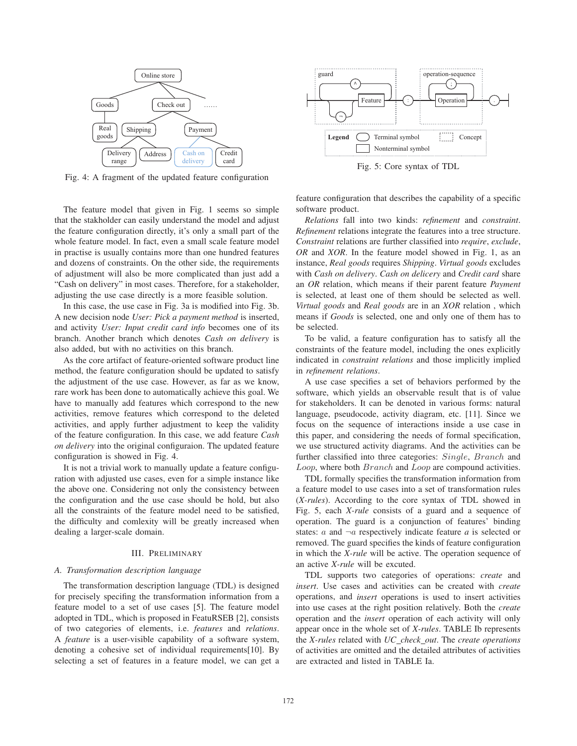

Fig. 4: A fragment of the updated feature configuration

The feature model that given in Fig. 1 seems so simple that the stakholder can easily understand the model and adjust the feature configuration directly, it's only a small part of the whole feature model. In fact, even a small scale feature model in practise is usually contains more than one hundred features and dozens of constraints. On the other side, the requirements of adjustment will also be more complicated than just add a "Cash on delivery" in most cases. Therefore, for a stakeholder, adjusting the use case directly is a more feasible solution.

In this case, the use case in Fig. 3a is modified into Fig. 3b. A new decision node *User: Pick a payment method* is inserted, and activity *User: Input credit card info* becomes one of its branch. Another branch which denotes *Cash on delivery* is also added, but with no activities on this branch.

As the core artifact of feature-oriented software product line method, the feature configuration should be updated to satisfy the adjustment of the use case. However, as far as we know, rare work has been done to automatically achieve this goal. We have to manually add features which correspond to the new activities, remove features which correspond to the deleted activities, and apply further adjustment to keep the validity of the feature configuration. In this case, we add feature *Cash on delivery* into the original configuraion. The updated feature configuration is showed in Fig. 4.

It is not a trivial work to manually update a feature configuration with adjusted use cases, even for a simple instance like the above one. Considering not only the consistency between the configuration and the use case should be hold, but also all the constraints of the feature model need to be satisfied, the difficulty and comlexity will be greatly increased when dealing a larger-scale domain.

#### III. PRELIMINARY

## *A. Transformation description language*

The transformation description language (TDL) is designed for precisely specifing the transformation information from a feature model to a set of use cases [5]. The feature model adopted in TDL, which is proposed in FeatuRSEB [2], consists of two categories of elements, i.e. *features* and *relations*. A *feature* is a user-visible capability of a software system, denoting a cohesive set of individual requirements[10]. By selecting a set of features in a feature model, we can get a



Fig. 5: Core syntax of TDL

feature configuration that describes the capability of a specific software product.

*Relations* fall into two kinds: *refinement* and *constraint*. *Refinement* relations integrate the features into a tree structure. *Constraint* relations are further classified into *require*, *exclude*, *OR* and *XOR*. In the feature model showed in Fig. 1, as an instance, *Real goods* requires *Shipping*. *Virtual goods* excludes with *Cash on delivery*. *Cash on delicery* and *Credit card* share an *OR* relation, which means if their parent feature *Payment* is selected, at least one of them should be selected as well. *Virtual goods* and *Real goods* are in an *XOR* relation , which means if *Goods* is selected, one and only one of them has to be selected.

To be valid, a feature configuration has to satisfy all the constraints of the feature model, including the ones explicitly indicated in *constraint relations* and those implicitly implied in *refinement relations*.

A use case specifies a set of behaviors performed by the software, which yields an observable result that is of value for stakeholders. It can be denoted in various forms: natural language, pseudocode, activity diagram, etc. [11]. Since we focus on the sequence of interactions inside a use case in this paper, and considering the needs of formal specification, we use structured activity diagrams. And the activities can be further classified into three categories: Single, Branch and Loop, where both Branch and Loop are compound activities.

TDL formally specifies the transformation information from a feature model to use cases into a set of transformation rules (*X-rules*). According to the core syntax of TDL showed in Fig. 5, each *X-rule* consists of a guard and a sequence of operation. The guard is a conjunction of features' binding states:  $a$  and  $\neg a$  respectively indicate feature  $a$  is selected or removed. The guard specifies the kinds of feature configuration in which the *X-rule* will be active. The operation sequence of an active *X-rule* will be excuted.

TDL supports two categories of operations: *create* and *insert*. Use cases and activities can be created with *create* operations, and *insert* operations is used to insert activities into use cases at the right position relatively. Both the *create* operation and the *insert* operation of each activity will only appear once in the whole set of *X-rules*. TABLE Ib represents the *X-rules* related with *UC check out*. The *create operations* of activities are omitted and the detailed attributes of activities are extracted and listed in TABLE Ia.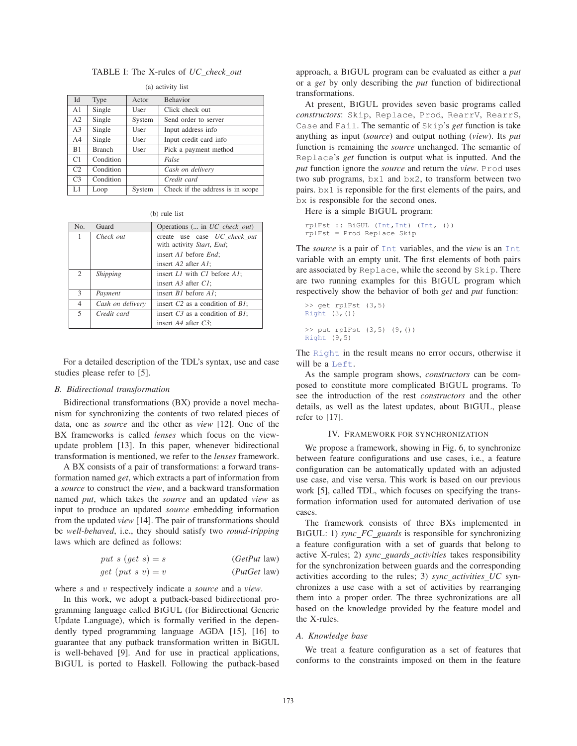# TABLE I: The X-rules of *UC check out*

| Id             | Type          | Actor  | <b>Behavior</b>                  |
|----------------|---------------|--------|----------------------------------|
| A1             | Single        | User   | Click check out                  |
| A2             | Single        | System | Send order to server             |
| A <sub>3</sub> | Single        | User   | Input address info               |
| A4             | Single        | User   | Input credit card info           |
| <b>B</b> 1     | <b>Branch</b> | User   | Pick a payment method            |
| C1             | Condition     |        | False                            |
| C <sub>2</sub> | Condition     |        | Cash on delivery                 |
| C <sub>3</sub> | Condition     |        | Credit card                      |
| L1             | Loop          | System | Check if the address is in scope |

(a) activity list

(b) rule list

| No.            | Guard                  | Operations ( in UC check out)                             |
|----------------|------------------------|-----------------------------------------------------------|
| 1              | Check out              | create use case UC check out<br>with activity Start, End; |
|                |                        | insert A1 before End;                                     |
|                |                        | insert A2 after A1;                                       |
| 2              | <i><b>Shipping</b></i> | insert L1 with C1 before A1;                              |
|                |                        | insert $A3$ after $CI$ ;                                  |
| 3              | Payment                | insert <i>B1</i> before <i>A1</i> ;                       |
| $\overline{4}$ | Cash on delivery       | insert $C2$ as a condition of $BI$ ;                      |
| 5              | Credit card            | insert $C3$ as a condition of $B1$ ;                      |
|                |                        | insert $A4$ after $C3$ ;                                  |

For a detailed description of the TDL's syntax, use and case studies please refer to [5].

### *B. Bidirectional transformation*

Bidirectional transformations (BX) provide a novel mechanism for synchronizing the contents of two related pieces of data, one as *source* and the other as *view* [12]. One of the BX frameworks is called *lenses* which focus on the viewupdate problem [13]. In this paper, whenever bidirectional transformation is mentioned, we refer to the *lenses* framework.

A BX consists of a pair of transformations: a forward transformation named *get*, which extracts a part of information from a *source* to construct the *view*, and a backward transformation named *put*, which takes the *source* and an updated *view* as input to produce an updated *source* embedding information from the updated *view* [14]. The pair of transformations should be *well-behaved*, i.e., they should satisfy two *round-tripping* laws which are defined as follows:

$$
put\ s\ (get\ s) = s
$$
\n
$$
get\ (put\ s\ v) = v
$$
\n
$$
(Put\ law)
$$
\n
$$
(Put\ law)
$$

where 
$$
s
$$
 and  $v$  respectively indicate a source and a view.

In this work, we adopt a putback-based bidirectional programming language called BIGUL (for Bidirectional Generic Update Language), which is formally verified in the dependently typed programming language AGDA [15], [16] to guarantee that any putback transformation written in BiGUL is well-behaved [9]. And for use in practical applications, BIGUL is ported to Haskell. Following the putback-based approach, a BIGUL program can be evaluated as either a *put* or a *get* by only describing the *put* function of bidirectional transformations.

At present, BIGUL provides seven basic programs called *constructors*: Skip, Replace, Prod, RearrV, RearrS, Case and Fail. The semantic of Skip's *get* function is take anything as input (*source*) and output nothing (*view*). Its *put* function is remaining the *source* unchanged. The semantic of Replace's *get* function is output what is inputted. And the *put* function ignore the *source* and return the *view*. Prod uses two sub programs, bx1 and bx2, to transform between two pairs. bx1 is reponsible for the first elements of the pairs, and bx is responsible for the second ones.

Here is a simple BIGUL program:

```
rplFst :: BiGUL (Int,Int) (Int, ())
rplFst = Prod Replace Skip
```
The *source* is a pair of Int variables, and the *view* is an Int variable with an empty unit. The first elements of both pairs are associated by Replace, while the second by Skip. There are two running examples for this BIGUL program which respectively show the behavior of both *get* and *put* function:

```
>> get rplFst (3,5)
Right (3, ()>> put rplFst (3,5) (9,())
Right (9,5)
```
The Right in the result means no error occurs, otherwise it will be a Left.

As the sample program shows, *constructors* can be composed to constitute more complicated BIGUL programs. To see the introduction of the rest *constructors* and the other details, as well as the latest updates, about BIGUL, please refer to [17].

## IV. FRAMEWORK FOR SYNCHRONIZATION

We propose a framework, showing in Fig. 6, to synchronize between feature configurations and use cases, i.e., a feature configuration can be automatically updated with an adjusted use case, and vise versa. This work is based on our previous work [5], called TDL, which focuses on specifying the transformation information used for automated derivation of use cases.

The framework consists of three BXs implemented in BIGUL: 1) *sync FC guards* is responsible for synchronizing a feature configuration with a set of guards that belong to active X-rules; 2) *sync guards activities* takes responsibility for the synchronization between guards and the corresponding activities according to the rules; 3) *sync activities UC* synchronizes a use case with a set of activities by rearranging them into a proper order. The three sychronizations are all based on the knowledge provided by the feature model and the X-rules.

#### *A. Knowledge base*

We treat a feature configuration as a set of features that conforms to the constraints imposed on them in the feature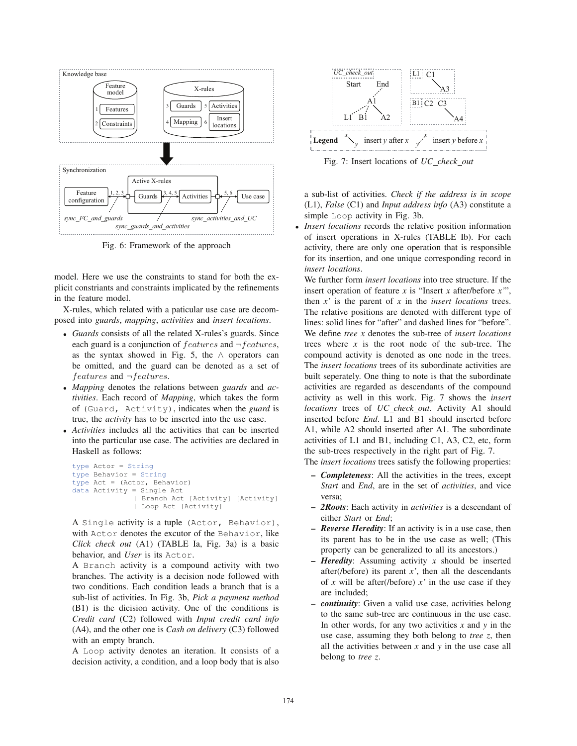

Fig. 6: Framework of the approach

model. Here we use the constraints to stand for both the explicit constriants and constraints implicated by the refinements in the feature model.

X-rules, which related with a paticular use case are decomposed into *guards*, *mapping*, *activities* and *insert locations*.

- *Guards* consists of all the related X-rules's guards. Since each guard is a conjunction of  $features$  and  $\neg features$ , as the syntax showed in Fig. 5, the  $\land$  operators can be omitted, and the guard can be denoted as a set of features and <sup>¬</sup>features.
- *Mapping* denotes the relations between *guards* and *activities*. Each record of *Mapping*, which takes the form of (Guard, Activity), indicates when the *guard* is true, the *activity* has to be inserted into the use case.
- *Activities* includes all the activities that can be inserted into the particular use case. The activities are declared in Haskell as follows:

```
type Actor = String
type Behavior = String
type Act = (Actor, Behavior)
data Activity = Single Act
               | Branch Act [Activity] [Activity]
               | Loop Act [Activity]
```
A Single activity is a tuple (Actor, Behavior), with Actor denotes the excutor of the Behavior, like *Click check out* (A1) (TABLE Ia, Fig. 3a) is a basic behavior, and *User* is its Actor.

A Branch activity is a compound activity with two branches. The activity is a decision node followed with two conditions. Each condition leads a branch that is a sub-list of activities. In Fig. 3b, *Pick a payment method* (B1) is the dicision activity. One of the conditions is *Credit card* (C2) followed with *Input credit card info* (A4), and the other one is *Cash on delivery* (C3) followed with an empty branch.

A Loop activity denotes an iteration. It consists of a decision activity, a condition, and a loop body that is also



Fig. 7: Insert locations of *UC check out*

a sub-list of activities. *Check if the address is in scope* (L1), *False* (C1) and *Input address info* (A3) constitute a simple Loop activity in Fig. 3b.

Insert locations records the relative position information of insert operations in X-rules (TABLE Ib). For each activity, there are only one operation that is responsible for its insertion, and one unique corresponding record in *insert locations*.

We further form *insert locations* into tree structure. If the insert operation of feature *x* is "Insert *x* after/before *x'*", then *x'* is the parent of *x* in the *insert locations* trees. The relative positions are denoted with different type of lines: solid lines for "after" and dashed lines for "before". We define *tree x* denotes the sub-tree of *insert locations* trees where *x* is the root node of the sub-tree. The compound activity is denoted as one node in the trees. The *insert locations* trees of its subordinate activities are built seperately. One thing to note is that the subordinate activities are regarded as descendants of the compound activity as well in this work. Fig. 7 shows the *insert locations* trees of *UC check out*. Activity A1 should inserted before *End*. L1 and B1 should inserted before A1, while A2 should inserted after A1. The subordinate activities of L1 and B1, including C1, A3, C2, etc, form the sub-trees respectively in the right part of Fig. 7. The *insert locations* trees satisfy the following properties:

- *Completeness*: All the activities in the trees, except *Start* and *End*, are in the set of *activities*, and vice versa;
- *2Roots*: Each activity in *activities* is a descendant of either *Start* or *End*;
- *Reverse Heredity*: If an activity is in a use case, then its parent has to be in the use case as well; (This property can be generalized to all its ancestors.)
- *Heredity*: Assuming activity *x* should be inserted after( $/$ before) its parent  $x'$ , then all the descendants of *x* will be after(*/before*)  $x'$  in the use case if they are included;
- *continuity*: Given a valid use case, activities belong to the same sub-tree are continuous in the use case. In other words, for any two activities *x* and *y* in the use case, assuming they both belong to *tree z*, then all the activities between *x* and *y* in the use case all belong to *tree z*.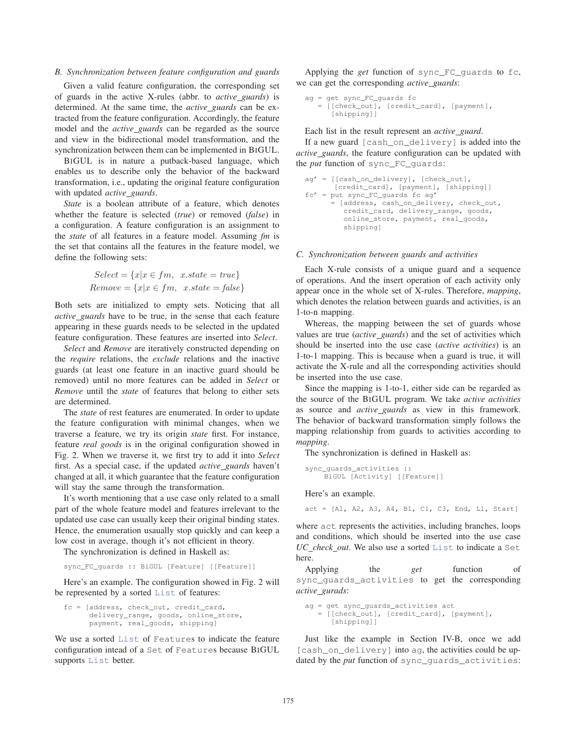# *B. Synchronization between feature configuration and guards*

Given a valid feature configuration, the corresponding set of guards in the active X-rules (abbr. to *active guards*) is determined. At the same time, the *active guards* can be extracted from the feature configuration. Accordingly, the feature model and the *active guards* can be regarded as the source and view in the bidirectional model transformation, and the synchronization between them can be implemented in BIGUL.

BIGUL is in nature a putback-based language, which enables us to describe only the behavior of the backward transformation, i.e., updating the original feature configuration with updated *active guards*.

*State* is a boolean attribute of a feature, which denotes whether the feature is selected (*true*) or removed (*false*) in a configuration. A feature configuration is an assignment to the *state* of all features in a feature model. Assuming *fm* is the set that contains all the features in the feature model, we define the following sets:

$$
Select = \{x | x \in fm, x.state = true\}
$$

$$
Remove = \{x | x \in fm, x.state = false\}
$$

Both sets are initialized to empty sets. Noticing that all *active guards* have to be true, in the sense that each feature appearing in these guards needs to be selected in the updated feature configuration. These features are inserted into *Select*.

*Select* and *Remove* are iteratively constructed depending on the *require* relations, the *exclude* relations and the inactive guards (at least one feature in an inactive guard should be removed) until no more features can be added in *Select* or *Remove* until the *state* of features that belong to either sets are determined.

The *state* of rest features are enumerated. In order to update the feature configuration with minimal changes, when we traverse a feature, we try its origin *state* first. For instance, feature *real goods* is in the original configuration showed in Fig. 2. When we traverse it, we first try to add it into *Select* first. As a special case, if the updated *active guards* haven't changed at all, it which guarantee that the feature configuration will stay the same through the transformation.

It's worth mentioning that a use case only related to a small part of the whole feature model and features irrelevant to the updated use case can usually keep their original binding states. Hence, the enumeration usaually stop quickly and can keep a low cost in average, though it's not efficient in theory.

The synchronization is defined in Haskell as:

sync\_FC\_guards :: BiGUL [Feature] [[Feature]]

Here's an example. The configuration showed in Fig. 2 will be represented by a sorted List of features:

```
fc = [address, check_out, credit_card,
      delivery_range, goods, online_store,
     payment, real_goods, shipping]
```
We use a sorted List of Features to indicate the feature configuration intead of a Set of Features because BIGUL supports List better.

Applying the *get* function of sync\_FC\_guards to fc, we can get the corresponding *active guards*:

```
ag = get sync_FC_guards fc
  = [[check_out], [credit_card], [payment],
      [shipping]]
```
Each list in the result represent an *active guard*.

If a new guard [cash\_on\_delivery] is added into the *active guards*, the feature configuration can be updated with the *put* function of sync\_FC\_guards:

```
ag' = [[cash_on_delivery], [check_out],
      [credit_card], [payment], [shipping]]
fc' = put sync_FC_guards fc ag'
      = [address, cash_on_delivery, check_out,
        credit_card, delivery_range, goods,
        online_store, payment, real_goods,
        shipping]
```
# *C. Synchronization between guards and activities*

Each X-rule consists of a unique guard and a sequence of operations. And the insert operation of each activity only appear once in the whole set of X-rules. Therefore, *mapping*, which denotes the relation between guards and activities, is an 1-to-n mapping.

Whereas, the mapping between the set of guards whose values are true (*active guards*) and the set of activities which should be inserted into the use case (*active activities*) is an 1-to-1 mapping. This is because when a guard is true, it will activate the X-rule and all the corresponding activities should be inserted into the use case.

Since the mapping is 1-to-1, either side can be regarded as the source of the BIGUL program. We take *active activities* as source and *active guards* as view in this framework. The behavior of backward transformation simply follows the mapping relationship from guards to activities according to *mapping*.

The synchronization is defined in Haskell as:

```
sync_guards_activities ::
    BiGUL [Activity] [[Feature]]
```
Here's an example.

 $act = [A1, A2, A3, A4, B1, C1, C3, End, L1, Start]$ 

where act represents the activities, including branches, loops and conditions, which should be inserted into the use case *UC check out*. We also use a sorted List to indicate a Set here.

Applying the *get* function of sync\_guards\_activities to get the corresponding *active gurads*:

```
ag = get sync_guards_activities act
```

```
= [[check_out], [credit_card], [payment],
   [shipping]]
```
Just like the example in Section IV-B, once we add [cash\_on\_delivery] into ag, the activities could be updated by the *put* function of sync\_guards\_activities: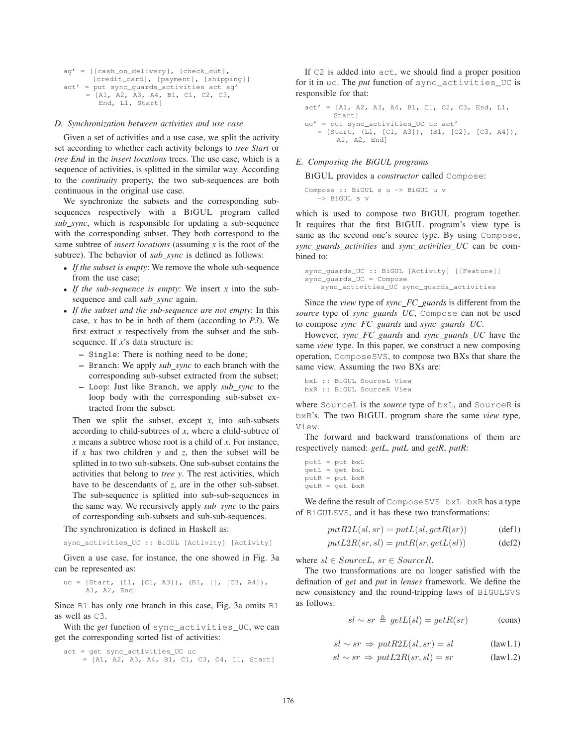```
ag' = [[cash_on_delivery], [check_out],
      [credit_card], [payment], [shipping]]
act' = put sync_guards_activities act ag'
     = [A1, A2, A3, A4, B1, C1, C2, C3,
        End, L1, Start]
```
## *D. Synchronization between activities and use case*

Given a set of activities and a use case, we split the activity set according to whether each activity belongs to *tree Start* or *tree End* in the *insert locations* trees. The use case, which is a sequence of activities, is splitted in the similar way. According to the *continuity* property, the two sub-sequences are both continuous in the original use case.

We synchronize the subsets and the corresponding subsequences respectively with a BIGUL program called *sub sync*, which is responsible for updating a sub-sequence with the corresponding subset. They both correspond to the same subtree of *insert locations* (assuming *x* is the root of the subtree). The behavior of *sub sync* is defined as follows:

- *If the subset is empty*: We remove the whole sub-sequence from the use case;
- *If the sub-sequence is empty*: We insert *x* into the subsequence and call *sub\_sync* again.
- *If the subset and the sub-sequence are not empty*: In this case, *x* has to be in both of them (according to *P3*). We first extract *x* respectively from the subset and the subsequence. If *x*'s data structure is:
	- Single: There is nothing need to be done;
	- Branch: We apply *sub sync* to each branch with the corresponding sub-subset extracted from the subset;
	- Loop: Just like Branch, we apply *sub sync* to the loop body with the corresponding sub-subset extracted from the subset.

Then we split the subset, except  $x$ , into sub-subsets according to child-subtrees of *x*, where a child-subtree of *x* means a subtree whose root is a child of *x*. For instance, if *x* has two children *y* and *z*, then the subset will be splitted in to two sub-subsets. One sub-subset contains the activities that belong to *tree y*. The rest activities, which have to be descendants of *z*, are in the other sub-subset. The sub-sequence is splitted into sub-sub-sequences in the same way. We recursively apply *sub sync* to the pairs of corresponding sub-subsets and sub-sub-sequences.

The synchronization is defined in Haskell as:

sync\_activities\_UC :: BiGUL [Activity] [Activity]

Given a use case, for instance, the one showed in Fig. 3a can be represented as:

uc = [Start, (L1, [C1, A3]), (B1, [], [C3, A4]), A1, A2, End]

Since B1 has only one branch in this case, Fig. 3a omits B1 as well as C3.

With the *get* function of sync\_activities\_UC, we can get the corresponding sorted list of activities:

```
act = get sync_activities_UC uc
    = [A1, A2, A3, A4, B1, C1, C3, C4, L1, Start]
```
If C2 is added into act, we should find a proper position for it in uc. The *put* function of sync\_activities\_UC is responsible for that:

```
act' = [A1, A2, A3, A4, B1, C1, C2, C3, End, L1,Start]
uc' = put sync_activities_UC uc act'
   = [Start, (L1, [C1, A3]), (B1, [C2], [C3, A4]),
       A1, A2, End]
```
### *E. Composing the BiGUL programs*

BIGUL provides a *constructor* called Compose:

Compose :: BiGUL s u -> BiGUL u v -> BiGUL s v

which is used to compose two BIGUL program together. It requires that the first BIGUL program's view type is same as the second one's source type. By using Compose, *sync guards activities* and *sync activities UC* can be combined to:

```
sync_guards_UC :: BiGUL [Activity] [[Feature]]
sync_guards_UC = Compose
   sync_activities_UC sync_guards_activities
```
Since the *view* type of *sync FC guards* is different from the *source* type of *sync guards UC*, Compose can not be used to compose *sync FC guards* and *sync guards UC*.

However, *sync FC guards* and *sync guards UC* have the same *view* type. In this paper, we construct a new composing operation, ComposeSVS, to compose two BXs that share the same view. Assuming the two BXs are:

```
bxL :: BiGUL SourceL View
bxR :: BiGUL SourceR View
```
where SourceL is the *source* type of bxL, and SourceR is bxR's. The two BIGUL program share the same *view* type, View.

The forward and backward transfomations of them are respectively named: *getL*, *putL* and *getR*, *putR*:

```
putL = put bxL
getL = get bxL
putR = put bxRgetR = get bXR
```
We define the result of ComposeSVS bxL bxR has a type of BiGULSVS, and it has these two transformations:

$$
put R2L(sl, sr) = putL(sl, getR(sr))
$$
 (def1)

$$
putL2R(sr, sl) = putR(sr, getL(sl))
$$
 (def2)

where  $sl \in SourceL$ ,  $sr \in SourceR$ .

The two transformations are no longer satisfied with the defination of *get* and *put* in *lenses* framework. We define the new consistency and the round-tripping laws of BiGULSVS as follows:

$$
sl \sim sr \triangleq getL(sl) = getR(sr) \tag{cons}
$$

$$
sl \sim sr \Rightarrow putR2L(sl, sr) = sl \qquad (law1.1)
$$

$$
sl \sim sr \Rightarrow putL2R(sr, sl) = sr \tag{law1.2}
$$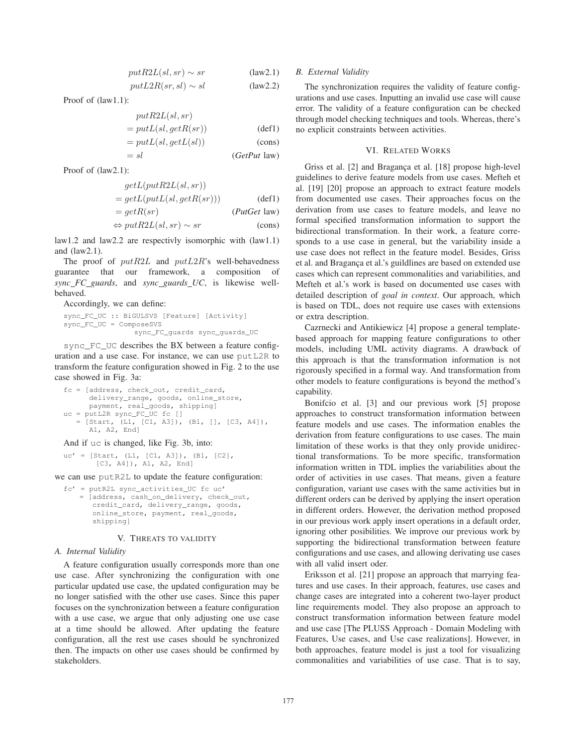$$
putR2L(sl, sr) \sim sr
$$
 (law2.1)  
\n $putL2R(sr, sl) \sim sl$  (law2.2)

Proof of (law1.1):

$$
put R2L(sl, sr)
$$
  
=  $put I(cl, act P (sr))$ 

$$
= putL(sl, getR(sr))
$$
 (def1)

$$
= putL(sl, getL(sl))
$$
 (cons)  

$$
= sl
$$
 (GetPut law)

Proof of (law2.1):

$$
getL(putR2L(sl, sr))
$$
  
= 
$$
getL(putL(sl, getR(sr)))
$$
 (def1)

$$
= getR(sr)
$$
 (PutGet law)  

$$
\Leftrightarrow putR2L(sl, sr) \sim sr
$$
 (cons)

law1.2 and law2.2 are respectivly isomorphic with (law1.1) and (law2.1).

The proof of  $putR2L$  and  $putL2R$ 's well-behavedness guarantee that our framework, a composition of *sync FC guards*, and *sync guards UC*, is likewise wellbehaved.

Accordingly, we can define:

```
sync_FC_UC :: BiGULSVS [Feature] [Activity]
sync_FC_UC = ComposeSVS
                sync_FC_guards sync_guards_UC
```
sync\_FC\_UC describes the BX between a feature configuration and a use case. For instance, we can use putL2R to transform the feature configuration showed in Fig. 2 to the use case showed in Fig. 3a:

fc = [address, check\_out, credit\_card, delivery\_range, goods, online\_store, payment, real\_goods, shipping] uc = putL2R sync\_FC\_UC fc [] = [Start, (L1, [C1, A3]), (B1, [], [C3, A4]), A1, A2, End]

## And if uc is changed, like Fig. 3b, into:

```
uc' = [Start, (L1, [C1, A3]), (B1, [C2],[C3, A4]), A1, A2, End]
```
we can use putR2L to update the feature configuration:

 $fc'$  = putR2L sync activities UC fc uc' = [address, cash\_on\_delivery, check\_out, credit\_card, delivery\_range, goods, online\_store, payment, real\_goods, shipping]

# V. THREATS TO VALIDITY

### *A. Internal Validity*

A feature configuration usually corresponds more than one use case. After synchronizing the configuration with one particular updated use case, the updated configuration may be no longer satisfied with the other use cases. Since this paper focuses on the synchronization between a feature configuration with a use case, we argue that only adjusting one use case at a time should be allowed. After updating the feature configuration, all the rest use cases should be synchronized then. The impacts on other use cases should be confirmed by stakeholders.

# *B. External Validity*

The synchronization requires the validity of feature configurations and use cases. Inputting an invalid use case will cause error. The validity of a feature configuration can be checked through model checking techniques and tools. Whereas, there's no explicit constraints between activities.

# VI. RELATED WORKS

Griss et al. [2] and Bragança et al. [18] propose high-level guidelines to derive feature models from use cases. Mefteh et al. [19] [20] propose an approach to extract feature models from documented use cases. Their approaches focus on the derivation from use cases to feature models, and leave no formal specified transformation information to support the bidirectional transformation. In their work, a feature corresponds to a use case in general, but the variability inside a use case does not reflect in the feature model. Besides, Griss et al. and Bragança et al.'s guildlines are based on extended use cases which can represent commonalities and variabilities, and Mefteh et al.'s work is based on documented use cases with detailed description of *goal in context*. Our approach, which is based on TDL, does not require use cases with extensions or extra description.

Cazrnecki and Antikiewicz [4] propose a general templatebased approach for mapping feature configurations to other models, including UML activity diagrams. A drawback of this approach is that the transformation information is not rigorously specified in a formal way. And transformation from other models to feature configurations is beyond the method's capability.

Bonifcio et al. [3] and our previous work [5] propose approaches to construct transformation information between feature models and use cases. The information enables the derivation from feature configurations to use cases. The main limitation of these works is that they only provide unidirectional transformations. To be more specific, transformation information written in TDL implies the variabilities about the order of activities in use cases. That means, given a feature configuration, variant use cases with the same activities but in different orders can be derived by applying the insert operation in different orders. However, the derivation method proposed in our previous work apply insert operations in a default order, ignoring other posibilities. We improve our previous work by supporting the bidirectional transformation between feature configurations and use cases, and allowing derivating use cases with all valid insert oder.

Eriksson et al. [21] propose an approach that marrying features and use cases. In their approach, features, use cases and change cases are integrated into a coherent two-layer product line requirements model. They also propose an approach to construct transformation information between feature model and use case [The PLUSS Approach - Domain Modeling with Features, Use cases, and Use case realizations]. However, in both approaches, feature model is just a tool for visualizing commonalities and variabilities of use case. That is to say,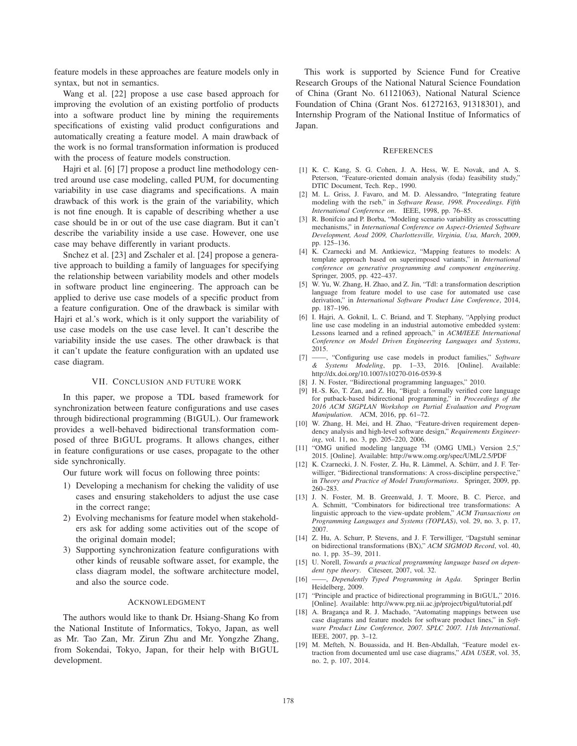feature models in these approaches are feature models only in syntax, but not in semantics.

Wang et al. [22] propose a use case based approach for improving the evolution of an existing portfolio of products into a software product line by mining the requirements specifications of existing valid product configurations and automatically creating a feature model. A main drawback of the work is no formal transformation information is produced with the process of feature models construction.

Hajri et al. [6] [7] propose a product line methodology centred around use case modeling, called PUM, for documenting variability in use case diagrams and specifications. A main drawback of this work is the grain of the variability, which is not fine enough. It is capable of describing whether a use case should be in or out of the use case diagram. But it can't describe the variability inside a use case. However, one use case may behave differently in variant products.

Snchez et al. [23] and Zschaler et al. [24] propose a generative approach to building a family of languages for specifying the relationship between variability models and other models in software product line engineering. The approach can be applied to derive use case models of a specific product from a feature configuration. One of the drawback is similar with Hajri et al.'s work, which is it only support the variability of use case models on the use case level. It can't describe the variability inside the use cases. The other drawback is that it can't update the feature configuration with an updated use case diagram.

## VII. CONCLUSION AND FUTURE WORK

In this paper, we propose a TDL based framework for synchronization between feature configurations and use cases through bidirectional programming (BIGUL). Our framework provides a well-behaved bidirectional transformation composed of three BIGUL programs. It allows changes, either in feature configurations or use cases, propagate to the other side synchronically.

Our future work will focus on following three points:

- 1) Developing a mechanism for cheking the validity of use cases and ensuring stakeholders to adjust the use case in the correct range;
- 2) Evolving mechanisms for feature model when stakeholders ask for adding some activities out of the scope of the original domain model;
- 3) Supporting synchronization feature configurations with other kinds of reusable software asset, for example, the class diagram model, the software architecture model, and also the source code.

#### ACKNOWLEDGMENT

The authors would like to thank Dr. Hsiang-Shang Ko from the National Institute of Informatics, Tokyo, Japan, as well as Mr. Tao Zan, Mr. Zirun Zhu and Mr. Yongzhe Zhang, from Sokendai, Tokyo, Japan, for their help with BIGUL development.

This work is supported by Science Fund for Creative Research Groups of the National Natural Science Foundation of China (Grant No. 61121063), National Natural Science Foundation of China (Grant Nos. 61272163, 91318301), and Internship Program of the National Institue of Informatics of Japan.

#### **REFERENCES**

- [1] K. C. Kang, S. G. Cohen, J. A. Hess, W. E. Novak, and A. S. Peterson, "Feature-oriented domain analysis (foda) feasibility study," DTIC Document, Tech. Rep., 1990.
- [2] M. L. Griss, J. Favaro, and M. D. Alessandro, "Integrating feature modeling with the rseb," in *Software Reuse, 1998. Proceedings. Fifth International Conference on*. IEEE, 1998, pp. 76–85.
- [3] R. Bonifcio and P. Borba, "Modeling scenario variability as crosscutting mechanisms," in *International Conference on Aspect-Oriented Software Development, Aosd 2009, Charlottesville, Virginia, Usa, March*, 2009, pp. 125–136.
- [4] K. Czarnecki and M. Antkiewicz, "Mapping features to models: A template approach based on superimposed variants," in *International conference on generative programming and component engineering*. Springer, 2005, pp. 422–437.
- [5] W. Yu, W. Zhang, H. Zhao, and Z. Jin, "Tdl: a transformation description language from feature model to use case for automated use case derivation," in *International Software Product Line Conference*, 2014, pp. 187–196.
- [6] I. Hajri, A. Goknil, L. C. Briand, and T. Stephany, "Applying product line use case modeling in an industrial automotive embedded system: Lessons learned and a refined approach," in *ACM/IEEE International Conference on Model Driven Engineering Languages and Systems*, 2015.
- [7] ——, "Configuring use case models in product families," *Software & Systems Modeling*, pp. 1–33, 2016. [Online]. Available: http://dx.doi.org/10.1007/s10270-016-0539-8
- [8] J. N. Foster, "Bidirectional programming languages," 2010.
- [9] H.-S. Ko, T. Zan, and Z. Hu, "Bigul: a formally verified core language for putback-based bidirectional programming," in *Proceedings of the 2016 ACM SIGPLAN Workshop on Partial Evaluation and Program Manipulation*. ACM, 2016, pp. 61–72.
- [10] W. Zhang, H. Mei, and H. Zhao, "Feature-driven requirement dependency analysis and high-level software design," *Requirements Engineering*, vol. 11, no. 3, pp. 205–220, 2006.
- [11] "OMG unified modeling language TM (OMG UML) Version 2.5," 2015. [Online]. Available: http://www.omg.org/spec/UML/2.5/PDF
- [12] K. Czarnecki, J. N. Foster, Z. Hu, R. Lämmel, A. Schürr, and J. F. Terwilliger, "Bidirectional transformations: A cross-discipline perspective," in *Theory and Practice of Model Transformations*. Springer, 2009, pp. 260–283.
- [13] J. N. Foster, M. B. Greenwald, J. T. Moore, B. C. Pierce, and A. Schmitt, "Combinators for bidirectional tree transformations: A linguistic approach to the view-update problem," *ACM Transactions on Programming Languages and Systems (TOPLAS)*, vol. 29, no. 3, p. 17, 2007.
- [14] Z. Hu, A. Schurr, P. Stevens, and J. F. Terwilliger, "Dagstuhl seminar on bidirectional transformations (BX)," *ACM SIGMOD Record*, vol. 40, no. 1, pp. 35–39, 2011.
- [15] U. Norell, *Towards a practical programming language based on dependent type theory*. Citeseer, 2007, vol. 32.
- [16] ——, *Dependently Typed Programming in Agda*. Springer Berlin Heidelberg, 2009.
- [17] "Principle and practice of bidirectional programming in BIGUL," 2016. [Online]. Available: http://www.prg.nii.ac.jp/project/bigul/tutorial.pdf
- [18] A. Bragança and R. J. Machado, "Automating mappings between use case diagrams and feature models for software product lines," in *Software Product Line Conference, 2007. SPLC 2007. 11th International*. IEEE, 2007, pp. 3–12.
- [19] M. Mefteh, N. Bouassida, and H. Ben-Abdallah, "Feature model extraction from documented uml use case diagrams," *ADA USER*, vol. 35, no. 2, p. 107, 2014.